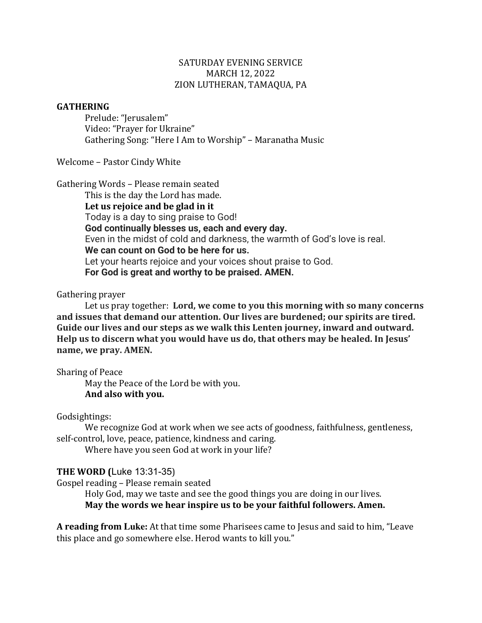## SATURDAY EVENING SERVICE MARCH 12, 2022 ZION LUTHERAN, TAMAQUA, PA

### **GATHERING**

Prelude: "Jerusalem" Video: "Prayer for Ukraine" Gathering Song: "Here I Am to Worship" – Maranatha Music

Welcome - Pastor Cindy White

Gathering Words - Please remain seated This is the day the Lord has made. Let us rejoice and be glad in it Today is a day to sing praise to God! **God continually blesses us, each and every day.** Even in the midst of cold and darkness, the warmth of God's love is real. **We can count on God to be here for us.** Let your hearts rejoice and your voices shout praise to God. **For God is great and worthy to be praised. AMEN.**

# Gathering prayer

Let us pray together: Lord, we come to you this morning with so many concerns and issues that demand our attention. Our lives are burdened; our spirits are tired. Guide our lives and our steps as we walk this Lenten journey, inward and outward. Help us to discern what you would have us do, that others may be healed. In Jesus' name, we pray. AMEN.

Sharing of Peace

May the Peace of the Lord be with you. **And also with you.**

#### Godsightings:

We recognize God at work when we see acts of goodness, faithfulness, gentleness, self-control, love, peace, patience, kindness and caring.

Where have you seen God at work in your life?

# **THE WORD (Luke 13:31-35)**

Gospel reading - Please remain seated

Holy God, may we taste and see the good things you are doing in our lives. May the words we hear inspire us to be your faithful followers. Amen.

A reading from Luke: At that time some Pharisees came to Jesus and said to him, "Leave this place and go somewhere else. Herod wants to kill you."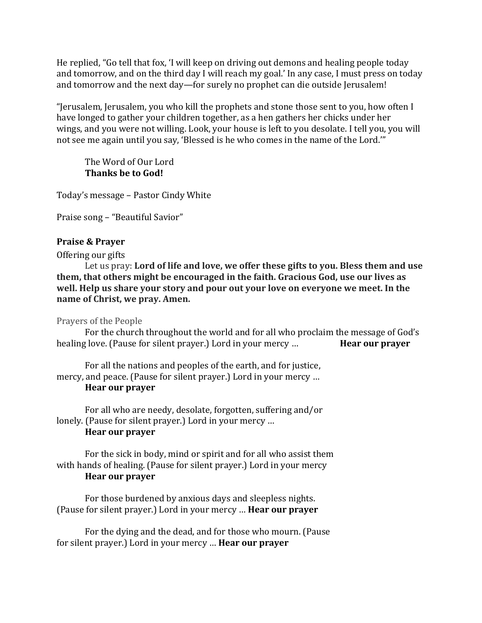He replied, "Go tell that fox, 'I will keep on driving out demons and healing people today and tomorrow, and on the third day I will reach my goal.' In any case, I must press on today and tomorrow and the next day—for surely no prophet can die outside Jerusalem!

"Jerusalem, Jerusalem, you who kill the prophets and stone those sent to you, how often I have longed to gather your children together, as a hen gathers her chicks under her wings, and you were not willing. Look, your house is left to you desolate. I tell you, you will not see me again until you say, 'Blessed is he who comes in the name of the Lord.'"

The Word of Our Lord **Thanks be to God!** 

Today's message – Pastor Cindy White

Praise song - "Beautiful Savior"

### **Praise & Prayer**

Offering our gifts

Let us pray: Lord of life and love, we offer these gifts to you. Bless them and use **them, that others might be encouraged in the faith. Gracious God, use our lives as well.** Help us share your story and pour out your love on everyone we meet. In the **name** of Christ, we pray. Amen.

Prayers of the People

For the church throughout the world and for all who proclaim the message of God's healing love. (Pause for silent prayer.) Lord in your mercy ... **Hear our prayer** 

For all the nations and peoples of the earth, and for justice, mercy, and peace. (Pause for silent prayer.) Lord in your mercy ... **Hear our prayer** 

For all who are needy, desolate, forgotten, suffering and/or lonely. (Pause for silent prayer.) Lord in your mercy ... **Hear our prayer**

For the sick in body, mind or spirit and for all who assist them with hands of healing. (Pause for silent prayer.) Lord in your mercy **Hear our prayer** 

For those burdened by anxious days and sleepless nights. (Pause for silent prayer.) Lord in your mercy ... **Hear our prayer** 

For the dying and the dead, and for those who mourn. (Pause for silent prayer.) Lord in your mercy ... **Hear our prayer**